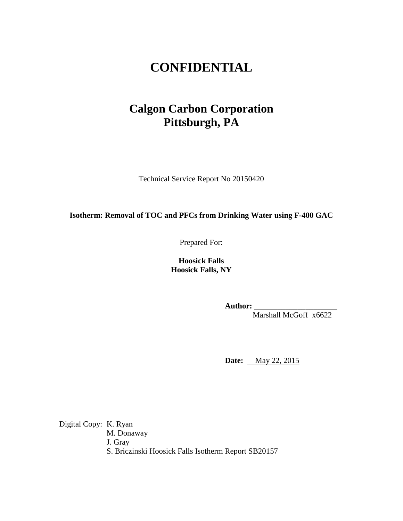# **CONFIDENTIAL**

# **Calgon Carbon Corporation Pittsburgh, PA**

Technical Service Report No 20150420

**Isotherm: Removal of TOC and PFCs from Drinking Water using F-400 GAC**

Prepared For:

**Hoosick Falls Hoosick Falls, NY**

**Author:** \_\_\_\_\_\_\_\_\_\_\_\_\_\_\_\_\_\_\_\_\_

Marshall McGoff x6622

**Date:** May 22, 2015

Digital Copy: K. Ryan M. Donaway J. Gray S. Briczinski Hoosick Falls Isotherm Report SB20157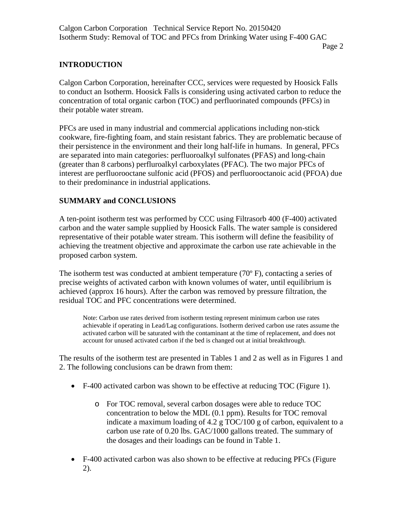## **INTRODUCTION**

Calgon Carbon Corporation, hereinafter CCC, services were requested by Hoosick Falls to conduct an Isotherm. Hoosick Falls is considering using activated carbon to reduce the concentration of total organic carbon (TOC) and perfluorinated compounds (PFCs) in their potable water stream.

PFCs are used in many industrial and commercial applications including non-stick cookware, fire-fighting foam, and stain resistant fabrics. They are problematic because of their persistence in the environment and their long half-life in humans. In general, PFCs are separated into main categories: perfluoroalkyl sulfonates (PFAS) and long-chain (greater than 8 carbons) perfluroalkyl carboxylates (PFAC). The two major PFCs of interest are perfluorooctane sulfonic acid (PFOS) and perfluorooctanoic acid (PFOA) due to their predominance in industrial applications.

## **SUMMARY and CONCLUSIONS**

A ten-point isotherm test was performed by CCC using Filtrasorb 400 (F-400) activated carbon and the water sample supplied by Hoosick Falls. The water sample is considered representative of their potable water stream. This isotherm will define the feasibility of achieving the treatment objective and approximate the carbon use rate achievable in the proposed carbon system.

The isotherm test was conducted at ambient temperature (70 $\degree$  F), contacting a series of precise weights of activated carbon with known volumes of water, until equilibrium is achieved (approx 16 hours). After the carbon was removed by pressure filtration, the residual TOC and PFC concentrations were determined.

Note: Carbon use rates derived from isotherm testing represent minimum carbon use rates achievable if operating in Lead/Lag configurations. Isotherm derived carbon use rates assume the activated carbon will be saturated with the contaminant at the time of replacement, and does not account for unused activated carbon if the bed is changed out at initial breakthrough.

The results of the isotherm test are presented in Tables 1 and 2 as well as in Figures 1 and 2. The following conclusions can be drawn from them:

- F-400 activated carbon was shown to be effective at reducing TOC (Figure 1).
	- o For TOC removal, several carbon dosages were able to reduce TOC concentration to below the MDL (0.1 ppm). Results for TOC removal indicate a maximum loading of 4.2 g TOC/100 g of carbon, equivalent to a carbon use rate of 0.20 lbs. GAC/1000 gallons treated. The summary of the dosages and their loadings can be found in Table 1.
- F-400 activated carbon was also shown to be effective at reducing PFCs (Figure 2).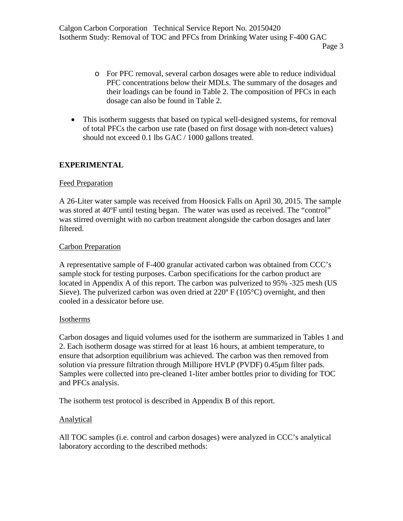- o For PFC removal, several carbon dosages were able to reduce individual PFC concentrations below their MDLs. The summary of the dosages and their loadings can be found in Table 2. The composition of PFCs in each dosage can also be found in Table 2.
- This isotherm suggests that based on typical well-designed systems, for removal of total PFCs the carbon use rate (based on first dosage with non-detect values) should not exceed 0.1 lbs GAC / 1000 gallons treated.

#### **EXPERIMENTAL**

#### Feed Preparation

A 26-Liter water sample was received from Hoosick Falls on April 30, 2015. The sample was stored at 40ºF until testing began. The water was used as received. The "control" was stirred overnight with no carbon treatment alongside the carbon dosages and later filtered.

#### Carbon Preparation

A representative sample of F-400 granular activated carbon was obtained from CCC's sample stock for testing purposes. Carbon specifications for the carbon product are located in Appendix A of this report. The carbon was pulverized to 95% -325 mesh (US Sieve). The pulverized carbon was oven dried at  $220^{\circ}$  F (105 $^{\circ}$ C) overnight, and then cooled in a dessicator before use.

#### Isotherms

Carbon dosages and liquid volumes used for the isotherm are summarized in Tables 1 and 2. Each isotherm dosage was stirred for at least 16 hours, at ambient temperature, to ensure that adsorption equilibrium was achieved. The carbon was then removed from solution via pressure filtration through Millipore HVLP (PVDF) 0.45µm filter pads. Samples were collected into pre-cleaned 1-liter amber bottles prior to dividing for TOC and PFCs analysis.

The isotherm test protocol is described in Appendix B of this report.

#### **Analytical**

All TOC samples (i.e. control and carbon dosages) were analyzed in CCC's analytical laboratory according to the described methods: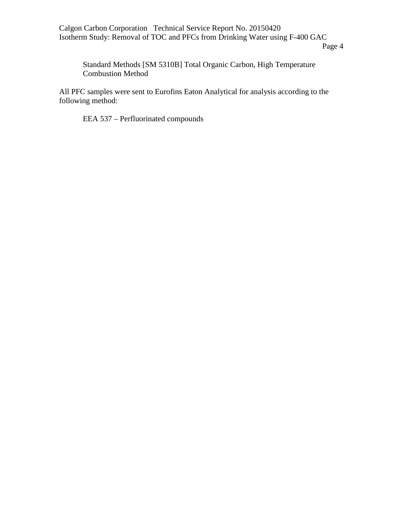Calgon Carbon Corporation Technical Service Report No. 20150420 Isotherm Study: Removal of TOC and PFCs from Drinking Water using F-400 GAC

Standard Methods [SM 5310B] Total Organic Carbon, High Temperature Combustion Method

All PFC samples were sent to Eurofins Eaton Analytical for analysis according to the following method:

EEA 537 – Perfluorinated compounds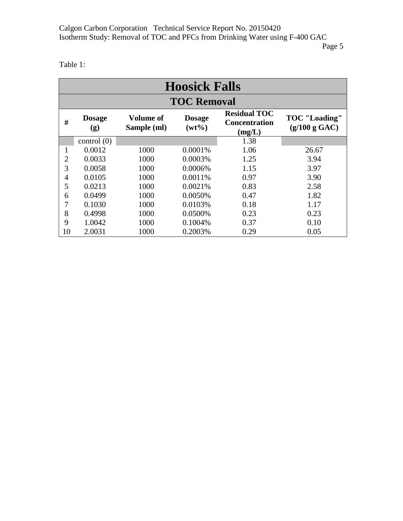Table 1:

| <b>Hoosick Falls</b> |                      |                          |                           |                                                       |                                       |  |  |  |
|----------------------|----------------------|--------------------------|---------------------------|-------------------------------------------------------|---------------------------------------|--|--|--|
| <b>TOC Removal</b>   |                      |                          |                           |                                                       |                                       |  |  |  |
| #                    | <b>Dosage</b><br>(g) | Volume of<br>Sample (ml) | <b>Dosage</b><br>$(wt\%)$ | <b>Residual TOC</b><br><b>Concentration</b><br>(mg/L) | <b>TOC</b> "Loading"<br>(g/100 g GAC) |  |  |  |
|                      | control(0)           |                          |                           | 1.38                                                  |                                       |  |  |  |
| 1                    | 0.0012               | 1000                     | 0.0001%                   | 1.06                                                  | 26.67                                 |  |  |  |
| $\overline{2}$       | 0.0033               | 1000                     | 0.0003%                   | 1.25                                                  | 3.94                                  |  |  |  |
| 3                    | 0.0058               | 1000                     | 0.0006%                   | 1.15                                                  | 3.97                                  |  |  |  |
| $\overline{4}$       | 0.0105               | 1000                     | 0.0011%                   | 0.97                                                  | 3.90                                  |  |  |  |
| 5                    | 0.0213               | 1000                     | 0.0021%                   | 0.83                                                  | 2.58                                  |  |  |  |
| 6                    | 0.0499               | 1000                     | 0.0050%                   | 0.47                                                  | 1.82                                  |  |  |  |
|                      | 0.1030               | 1000                     | 0.0103%                   | 0.18                                                  | 1.17                                  |  |  |  |
| 8                    | 0.4998               | 1000                     | 0.0500%                   | 0.23                                                  | 0.23                                  |  |  |  |
| 9                    | 1.0042               | 1000                     | 0.1004%                   | 0.37                                                  | 0.10                                  |  |  |  |
| 10                   | 2.0031               | 1000                     | 0.2003%                   | 0.29                                                  | 0.05                                  |  |  |  |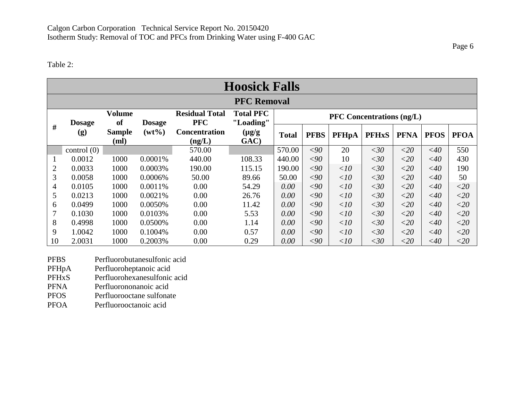#### Table 2:

| <b>Hoosick Falls</b> |               |                       |               |                                     |                               |                                  |             |              |              |             |             |             |
|----------------------|---------------|-----------------------|---------------|-------------------------------------|-------------------------------|----------------------------------|-------------|--------------|--------------|-------------|-------------|-------------|
| <b>PFC Removal</b>   |               |                       |               |                                     |                               |                                  |             |              |              |             |             |             |
|                      | <b>Dosage</b> | <b>Volume</b><br>of   | <b>Dosage</b> | <b>Residual Total</b><br><b>PFC</b> | <b>Total PFC</b><br>"Loading" | <b>PFC</b> Concentrations (ng/L) |             |              |              |             |             |             |
| #                    | (g)           | <b>Sample</b><br>(ml) | $(wt\%)$      | <b>Concentration</b><br>(ng/L)      | $(\mu g/g)$<br>GAC)           | <b>Total</b>                     | <b>PFBS</b> | <b>PFHpA</b> | <b>PFHxS</b> | <b>PFNA</b> | <b>PFOS</b> | <b>PFOA</b> |
|                      | control(0)    |                       |               | 570.00                              |                               | 570.00                           | $<$ 90      | 20           | <30          | $<$ 20      | $<$ 40      | 550         |
|                      | 0.0012        | 1000                  | 0.0001%       | 440.00                              | 108.33                        | 440.00                           | $<$ 90      | 10           | <30          | ${<}20$     | $<$ 40      | 430         |
| $\overline{2}$       | 0.0033        | 1000                  | 0.0003%       | 190.00                              | 115.15                        | 190.00                           | $<$ 90      | <10          | <30          | ${<}20$     | $<$ 40      | 190         |
| 3                    | 0.0058        | 1000                  | 0.0006%       | 50.00                               | 89.66                         | 50.00                            | $<$ 90      | <10          | <30          | ${<}20$     | $<$ 40      | 50          |
| $\overline{4}$       | 0.0105        | 1000                  | 0.0011%       | 0.00                                | 54.29                         | $0.00\,$                         | $<$ 90      | $\langle 10$ | <30          | ${<}20$     | $<$ 40      | ${<}20$     |
| 5                    | 0.0213        | 1000                  | 0.0021%       | 0.00                                | 26.76                         | 0.00                             | $<$ 90      | <10          | <30          | ${<}20$     | $<$ 40      | ${<}20$     |
| 6                    | 0.0499        | 1000                  | 0.0050%       | 0.00                                | 11.42                         | 0.00                             | $<$ 90      | $\langle 10$ | <30          | ${<}20$     | $<$ 40      | $<$ 20      |
| 7                    | 0.1030        | 1000                  | 0.0103%       | 0.00                                | 5.53                          | 0.00                             | $<$ 90      | $\langle 10$ | <30          | ${<}20$     | $<$ 40      | $<$ 20      |
| 8                    | 0.4998        | 1000                  | 0.0500%       | 0.00                                | 1.14                          | 0.00                             | $<$ 90      | <10          | <30          | ${<}20$     | $<$ 40      | $<$ 20      |
| 9                    | 1.0042        | 1000                  | 0.1004%       | 0.00                                | 0.57                          | 0.00                             | $<$ 90      | $\langle 10$ | <30          | ${<}20$     | $<$ 40      | ${<}20$     |
| 10                   | 2.0031        | 1000                  | 0.2003%       | 0.00                                | 0.29                          | 0.00                             | $<$ 90      | $<$ 10       | <30          | ${<}20$     | $<$ 40      | ${<}20$     |

- PFBS Perfluorobutanesulfonic acid<br>PFHpA Perfluoroheptanoic acid
- PFHpA Perfluoroheptanoic acid<br>PFHxS Perfluorohexanesulfonic
- PFHxS Perfluorohexanesulfonic acid
- PFNA Perfluorononanoic acid<br>PFOS Perfluorooctane sulfona
- PFOS Perfluorooctane sulfonate<br>PFOA Perfluorooctanoic acid
- Perfluorooctanoic acid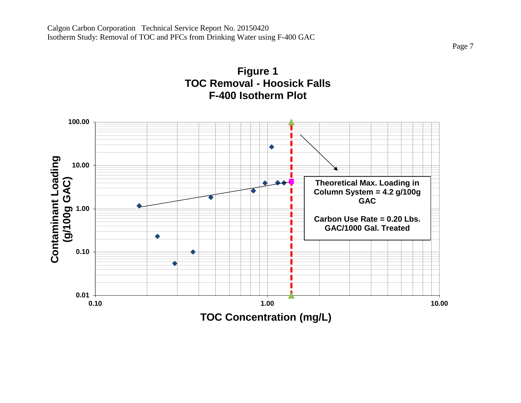

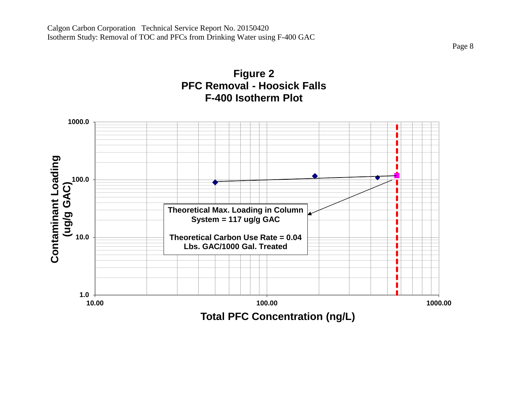

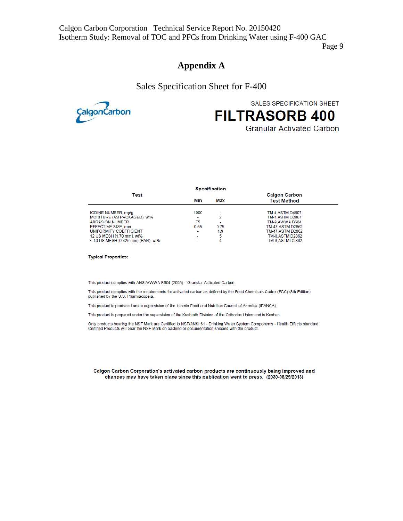#### **Appendix A**

Sales Specification Sheet for F-400



SALES SPECIFICATION SHEET

# **FILTRASORB 400**

**Granular Activated Carbon** 

|                                                                                                                                                                                                 |                                                     | <b>Specification</b>                                        |                                                                                                                                                            |  |
|-------------------------------------------------------------------------------------------------------------------------------------------------------------------------------------------------|-----------------------------------------------------|-------------------------------------------------------------|------------------------------------------------------------------------------------------------------------------------------------------------------------|--|
| Test                                                                                                                                                                                            | Min<br>Max                                          |                                                             | <b>Calgon Carbon</b><br><b>Test Method</b>                                                                                                                 |  |
| IODINE NUMBER, mg/g<br>MOISTURE (AS PACKAGED), wt%<br><b>ABRASION NUMBER</b><br>EFFECTIVE SIZE, mm<br>UNIFORMITY COEFFICIENT<br>12 US MESH [1.70 mm], wt%<br>< 40 US MESH [0.425 mm] (PAN), wt% | 1000<br>۰<br>75<br>0.55<br>$\overline{\phantom{a}}$ | -<br>2<br>$\overline{\phantom{a}}$<br>0.75<br>1.9<br>5<br>4 | <b>TM-4.ASTM D4607</b><br><b>TM-1, ASTM D2867</b><br>TM-9.AWWA B604<br>TM-47, ASTM D2862<br>TM-47, ASTM D2862<br><b>TM-8.ASTM D2862</b><br>TM-8.ASTM D2862 |  |

**Typical Properties:** 

This product complies with ANSI/AWWA B604 (2005) - Granular Activated Carbon.

This product complies with the requirements for activated carbon as defined by the Food Chemicals Codex (FCC) (8th Edition) published by the U.S. Pharmacopeia.

This product is produced under supervision of the Islamic Food and Nutrition Council of America (IFANCA).

This product is prepared under the supervision of the Kashruth Division of the Orthodox Union and is Kosher.

Only products bearing the NSF Mark are Certified to NSF/ANSI 61 - Drinking Water System Components - Health Effects standard. Certified Products will bear the NSF Mark on packing or documentation shipped with the product.

Calgon Carbon Corporation's activated carbon products are continuously being improved and changes may have taken place since this publication went to press. (2030-08/29/2013)